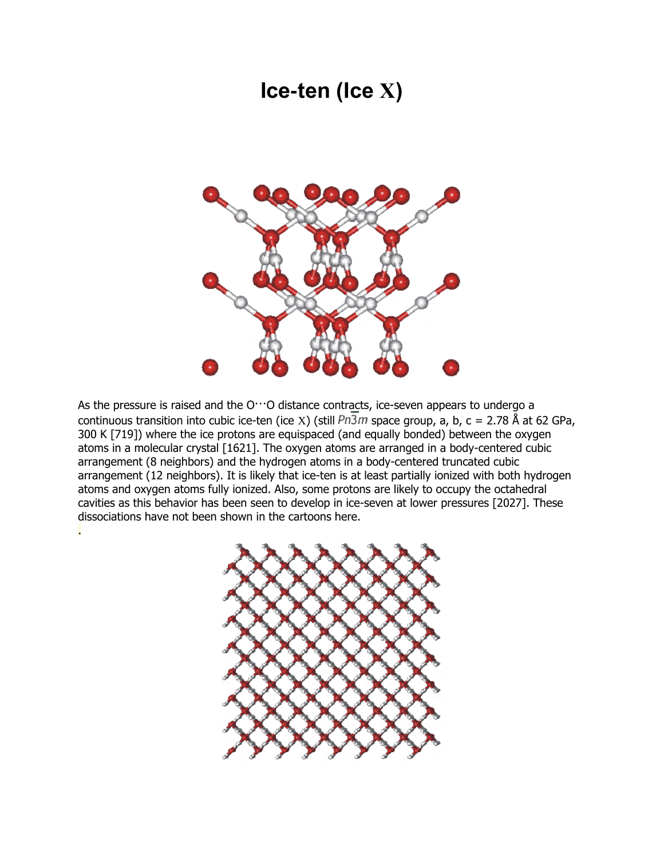## **Ice-ten (Ice X)**



As the pressure is raised and the  $O^{++}O$  distance contracts, [ice-seven](http://www1.lsbu.ac.uk/water/ice_vii.html) appears to undergo a continuous transition into cubic ice-ten (ice X) (still  $Pn\overline{3}m$  space group, a, b, c = 2.78 Å at 62 GPa, 300 K [\[719\]](http://www1.lsbu.ac.uk/water/ref8.html#r719)) where the ice protons are equispaced (and equally bonded) between the oxygen atoms in a molecular crystal [\[1621\]](http://www1.lsbu.ac.uk/water/ref17.html#r1621). The oxygen atoms are arranged in a body-centered cubic arrangement (8 neighbors) and the hydrogen atoms in a body-centered truncated cubic arrangement (12 neighbors). It is likely that ice-ten is at least partially ionized with both hydrogen atoms and oxygen atoms fully ionized. Also, some protons are likely to occupy the octahedral cavities as this behavior has [been seen to develop in ice-seven](http://www1.lsbu.ac.uk/water/ice_vii.html#pres) at lower pressures [\[2027\]](http://www1.lsbu.ac.uk/water/ref21.html#r2027). These dissociations have not been shown in the cartoons here.

.